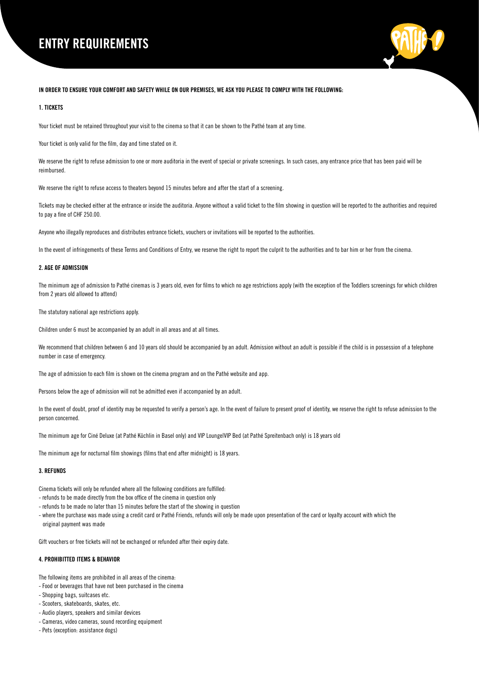# ENTRY REQUIREMENTS



## IN ORDER TO ENSURE YOUR COMFORT AND SAFETY WHILE ON OUR PREMISES, WE ASK YOU PLEASE TO COMPLY WITH THE FOLLOWING:

### 1. TICKETS

Your ticket must be retained throughout your visit to the cinema so that it can be shown to the Pathé team at any time.

Your ticket is only valid for the film, day and time stated on it.

We reserve the right to refuse admission to one or more auditoria in the event of special or private screenings. In such cases, any entrance price that has been paid will be reimbursed.

We reserve the right to refuse access to theaters beyond 15 minutes before and after the start of a screening.

Tickets may be checked either at the entrance or inside the auditoria. Anyone without a valid ticket to the film showing in question will be reported to the authorities and required to pay a fine of CHF 250.00.

Anyone who illegally reproduces and distributes entrance tickets, vouchers or invitations will be reported to the authorities.

In the event of infringements of these Terms and Conditions of Entry, we reserve the right to report the culprit to the authorities and to bar him or her from the cinema.

### 2. AGE OF ADMISSION

The minimum age of admission to Pathé cinemas is 3 years old, even for films to which no age restrictions apply (with the exception of the Toddlers screenings for which children from 2 years old allowed to attend)

The statutory national age restrictions apply.

Children under 6 must be accompanied by an adult in all areas and at all times.

We recommend that children between 6 and 10 years old should be accompanied by an adult. Admission without an adult is possible if the child is in possession of a telephone number in case of emergency.

The age of admission to each film is shown on the cinema program and on the Pathé website and app.

Persons below the age of admission will not be admitted even if accompanied by an adult.

In the event of doubt, proof of identity may be requested to verify a person's age. In the event of failure to present proof of identity, we reserve the right to refuse admission to the person concerned.

The minimum age for Ciné Deluxe (at Pathé Küchlin in Basel only) and VIP Lounge|VIP Bed (at Pathé Spreitenbach only) is 18 years old

The minimum age for nocturnal film showings (films that end after midnight) is 18 years.

## 3. REFUNDS

Cinema tickets will only be refunded where all the following conditions are fulfilled:

- refunds to be made directly from the box office of the cinema in question only
- refunds to be made no later than 15 minutes before the start of the showing in question
- where the purchase was made using a credit card or Pathé Friends, refunds will only be made upon presentation of the card or loyalty account with which the original payment was made

Gift vouchers or free tickets will not be exchanged or refunded after their expiry date.

#### 4. PROHIBITTED ITEMS & BEHAVIOR

The following items are prohibited in all areas of the cinema:

- Food or beverages that have not been purchased in the cinema
- Shopping bags, suitcases etc.
- Scooters, skateboards, skates, etc.
- Audio players, speakers and similar devices
- Cameras, video cameras, sound recording equipment
- Pets (exception: assistance dogs)